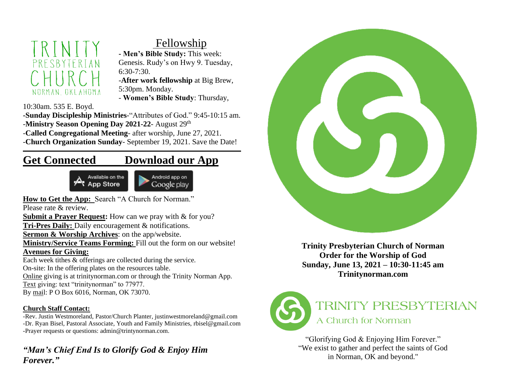# NORMAN OKLAHOMA

# Fellowship

**- Men's Bible Study:** This week: Genesis. Rudy's on Hwy 9. Tuesday, 6:30-7:30.

-**After work fellowship** at Big Brew,

5:30pm. Monday.

- **Women's Bible Study**: Thursday,

10:30am. 535 E. Boyd.

**-Sunday Discipleship Ministries**-"Attributes of God." 9:45-10:15 am. -**Ministry Season Opening Day 2021-22**- August 29 th

-**Called Congregational Meeting**- after worship, June 27, 2021.

-**Church Organization Sunday**- September 19, 2021. Save the Date!

# **Get Connected Download our App**





How to Get the App: Search "A Church for Norman."

Please rate & review.

**Submit a Prayer Request:** How can we pray with & for you?

**Tri-Pres Daily:** Daily encouragement & notifications.

**Sermon & Worship Archives**: on the app/website.

**Ministry/Service Teams Forming:** Fill out the form on our website!

## **Avenues for Giving:**

Each week tithes & offerings are collected during the service. On-site: In the offering plates on the resources table. Online giving is at trinitynorman.com or through the Trinity Norman App. Text giving: text "trinitynorman" to 77977. By mail: P O Box 6016, Norman, OK 73070.

## **Church Staff Contact:**

-Rev. Justin Westmoreland, Pastor/Church Planter, justinwestmoreland@gmail.com -Dr. Ryan Bisel, Pastoral Associate, Youth and Family Ministries, rbisel@gmail.com -Prayer requests or questions: admin@trintynorman.com.

## *"Man's Chief End Is to Glorify God & Enjoy Him Forever."*



**Trinity Presbyterian Church of Norman Order for the Worship of God Sunday, June 13, 2021 – 10:30-11:45 am Trinitynorman.com** 



"Glorifying God & Enjoying Him Forever." "We exist to gather and perfect the saints of God in Norman, OK and beyond."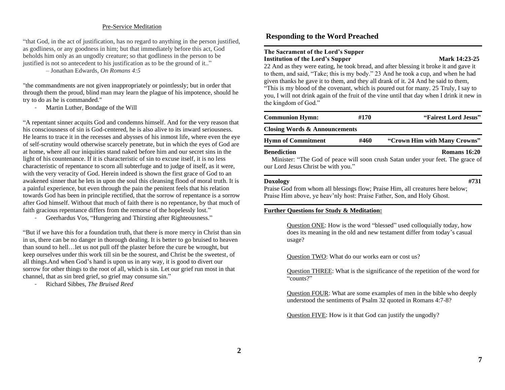#### Pre-Service Meditation

"that God, in the act of justification, has no regard to anything in the person justified, as godliness, or any goodness in him; but that immediately before this act, God beholds him only as an ungodly creature; so that godliness in the person to be justified is not so antecedent to his justification as to be the ground of it.."

– Jonathan Edwards, *On Romans 4:5*

"the commandments are not given inappropriately or pointlessly; but in order that through them the proud, blind man may learn the plague of his impotence, should he try to do as he is commanded."

*-* Martin Luther, Bondage of the Will

"A repentant sinner acquits God and condemns himself. And for the very reason that his consciousness of sin is God-centered, he is also alive to its inward seriousness. He learns to trace it in the recesses and abysses of his inmost life, where even the eye of self-scrutiny would otherwise scarcely penetrate, but in which the eyes of God are at home, where all our iniquities stand naked before him and our secret sins in the light of his countenance. If it is characteristic of sin to excuse itself, it is no less characteristic of repentance to scorn all subterfuge and to judge of itself, as it were, with the very veracity of God. Herein indeed is shown the first grace of God to an awakened sinner that he lets in upon the soul this cleansing flood of moral truth. It is a painful experience, but even through the pain the penitent feels that his relation towards God has been in principle rectified, that the sorrow of repentance is a sorrow after God himself. Without that much of faith there is no repentance, by that much of faith gracious repentance differs from the remorse of the hopelessly lost."

Geerhardus Vos, "Hungering and Thirsting after Righteousness."

"But if we have this for a foundation truth, that there is more mercy in Christ than sin in us, there can be no danger in thorough dealing. It is better to go bruised to heaven than sound to hell…let us not pull off the plaster before the cure be wrought, but keep ourselves under this work till sin be the sourest, and Christ be the sweetest, of all things.And when God's hand is upon us in any way, it is good to divert our sorrow for other things to the root of all, which is sin. Let our grief run most in that channel, that as sin bred grief, so grief may consume sin."

*-* Richard Sibbes, *The Bruised Reed*

### **Responding to the Word Preached**

#### **The Sacrament of the Lord's Supper Institution of the Lord's Supper Mark 14:23-25**

22 And as they were eating, he took bread, and after blessing it broke it and gave it to them, and said, "Take; this is my body." 23 And he took a cup, and when he had given thanks he gave it to them, and they all drank of it. 24 And he said to them, "This is my blood of the covenant, which is poured out for many. 25 Truly, I say to you, I will not drink again of the fruit of the vine until that day when I drink it new in the kingdom of God."

| <b>Communion Hymn:</b>                                    | #170 | "Fairest Lord Jesus"                                                                            |  |  |  |  |  |
|-----------------------------------------------------------|------|-------------------------------------------------------------------------------------------------|--|--|--|--|--|
| <b>Closing Words &amp; Announcements</b>                  |      |                                                                                                 |  |  |  |  |  |
| <b>Hymn of Commitment</b>                                 | #460 | "Crown Him with Many Crowns"                                                                    |  |  |  |  |  |
| <b>Benediction</b><br>our Lord Jesus Christ be with you." |      | Romans 16:20<br>Minister: "The God of peace will soon crush Satan under your feet. The grace of |  |  |  |  |  |

#### **Doxology #731**

Praise God from whom all blessings flow; Praise Him, all creatures here below; Praise Him above, ye heav'nly host: Praise Father, Son, and Holy Ghost.

#### **Further Questions for Study & Meditation:**

Question ONE: How is the word "blessed" used colloquially today, how does its meaning in the old and new testament differ from today's casual usage?

Question TWO: What do our works earn or cost us?

Question THREE: What is the significance of the repetition of the word for "counts?"

Question FOUR: What are some examples of men in the bible who deeply understood the sentiments of Psalm 32 quoted in Romans 4:7-8?

Question FIVE: How is it that God can justify the ungodly?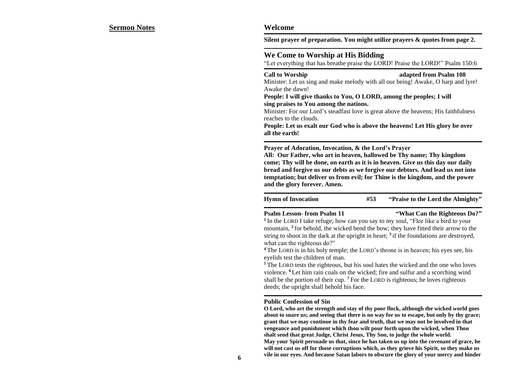**Silent prayer of preparation. You might utilize prayers & quotes from page 2.** 

#### **We Come to Worship at His Bidding**

"Let everything that has breathe praise the LORD! Praise the LORD!" Psalm 150:6

#### **Call to Worship adapted from Psalm 108**

Minister: Let us sing and make melody with all our being! Awake, O harp and lyre! Awake the dawn!

**People: I will give thanks to You, O LORD, among the peoples; I will sing praises to You among the nations.**

Minister: For our Lord's steadfast love is great above the heavens; His faithfulness reaches to the clouds.

**People: Let us exalt our God who is above the heavens! Let His glory be over all the earth!**

**Prayer of Adoration, Invocation, & the Lord's Prayer** 

**All: Our Father, who art in heaven, hallowed be Thy name; Thy kingdom come; Thy will be done, on earth as it is in heaven. Give us this day our daily bread and forgive us our debts as we forgive our debtors. And lead us not into temptation; but deliver us from evil; for Thine is the kingdom, and the power and the glory forever. Amen.**

**Hymn of Invocation #53 "Praise to the Lord the Almighty"**

#### **Psalm Lesson- from Psalm 11 "What Can the Righteous Do?"**

<sup>1</sup> In the LORD I take refuge; how can you say to my soul, "Flee like a bird to your mountain, **<sup>2</sup>** for behold, the wicked bend the bow; they have fitted their arrow to the string to shoot in the dark at the upright in heart; **<sup>3</sup>** if the foundations are destroyed, what can the righteous do?"

**<sup>4</sup>** The LORD is in his holy temple; the LORD's throne is in heaven; his eyes see, his eyelids test the children of man.

**<sup>5</sup>** The LORD tests the righteous, but his soul hates the wicked and the one who loves violence. **<sup>6</sup>** Let him rain coals on the wicked; fire and sulfur and a scorching wind shall be the portion of their cup. **<sup>7</sup>** For the LORD is righteous; he loves righteous deeds; the upright shall behold his face.

#### **Public Confession of Sin**

**O Lord, who art the strength and stay of thy poor flock, although the wicked world goes about to snare us; and seeing that there is no way for us to escape, but only by thy grace; grant that we may continue in thy fear and truth, that we may not be involved in that vengeance and punishment which thou wilt pour forth upon the wicked, when Thou shalt send that great Judge, Christ Jesus, Thy Son, to judge the whole world. May your Spirit persuade us that, since he has taken us up into the covenant of grace, he will not cast us off for those corruptions which, as they grieve his Spirit, so they make us vile in our eyes. And because Satan labors to obscure the glory of your mercy and hinder**